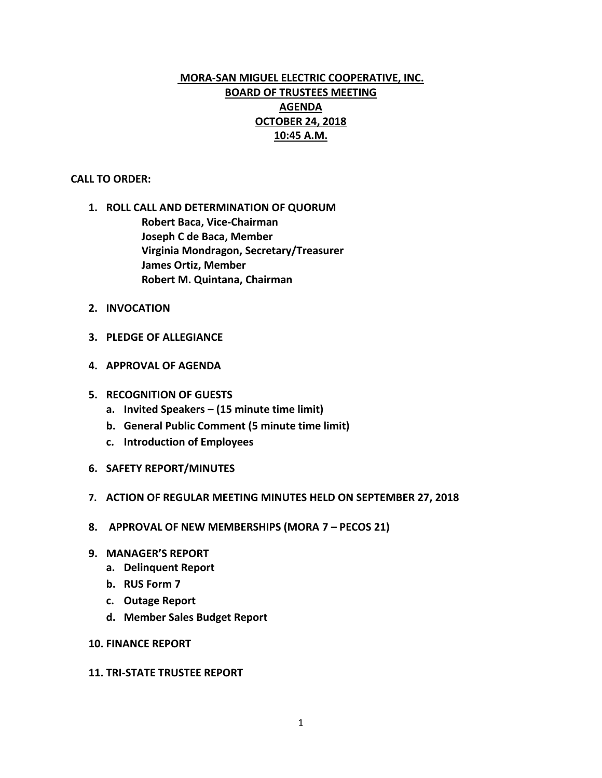# **MORA-SAN MIGUEL ELECTRIC COOPERATIVE, INC. BOARD OF TRUSTEES MEETING AGENDA OCTOBER 24, 2018 10:45 A.M.**

## **CALL TO ORDER:**

- **1. ROLL CALL AND DETERMINATION OF QUORUM Robert Baca, Vice-Chairman Joseph C de Baca, Member Virginia Mondragon, Secretary/Treasurer James Ortiz, Member Robert M. Quintana, Chairman**
- **2. INVOCATION**
- **3. PLEDGE OF ALLEGIANCE**
- **4. APPROVAL OF AGENDA**
- **5. RECOGNITION OF GUESTS**
	- **a. Invited Speakers – (15 minute time limit)**
	- **b. General Public Comment (5 minute time limit)**
	- **c. Introduction of Employees**
- **6. SAFETY REPORT/MINUTES**
- **7. ACTION OF REGULAR MEETING MINUTES HELD ON SEPTEMBER 27, 2018**
- **8. APPROVAL OF NEW MEMBERSHIPS (MORA 7 – PECOS 21)**
- **9. MANAGER'S REPORT**
	- **a. Delinquent Report**
	- **b. RUS Form 7**
	- **c. Outage Report**
	- **d. Member Sales Budget Report**
- **10. FINANCE REPORT**

#### **11. TRI-STATE TRUSTEE REPORT**